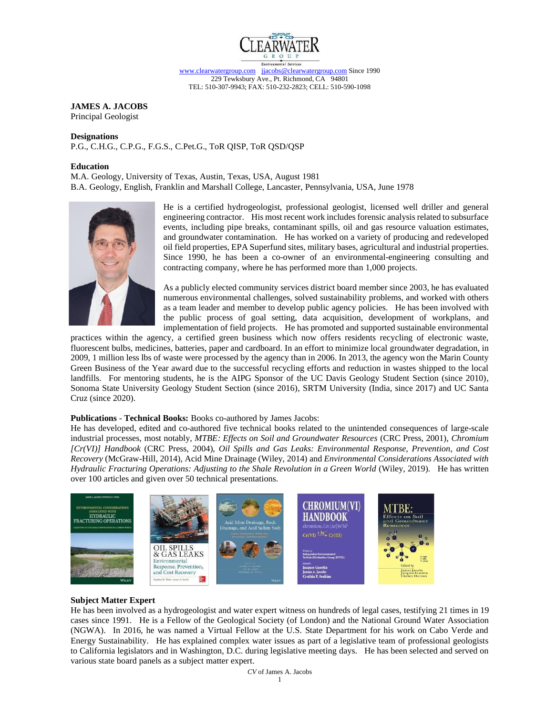

# **JAMES A. JACOBS**

Principal Geologist

#### **Designations**

P.G., C.H.G., C.P.G., F.G.S., C.Pet.G., ToR QISP, ToR QSD/QSP

#### **Education**

M.A. Geology, University of Texas, Austin, Texas, USA, August 1981

B.A. Geology, English, Franklin and Marshall College, Lancaster, Pennsylvania, USA, June 1978



He is a certified hydrogeologist, professional geologist, licensed well driller and general engineering contractor. His most recent work includesforensic analysis related to subsurface events, including pipe breaks, contaminant spills, oil and gas resource valuation estimates, and groundwater contamination. He has worked on a variety of producing and redeveloped oil field properties, EPA Superfund sites, military bases, agricultural and industrial properties. Since 1990, he has been a co-owner of an environmental-engineering consulting and contracting company, where he has performed more than 1,000 projects.

As a publicly elected community services district board member since 2003, he has evaluated numerous environmental challenges, solved sustainability problems, and worked with others as a team leader and member to develop public agency policies. He has been involved with the public process of goal setting, data acquisition, development of workplans, and implementation of field projects. He has promoted and supported sustainable environmental

practices within the agency, a certified green business which now offers residents recycling of electronic waste, fluorescent bulbs, medicines, batteries, paper and cardboard. In an effort to minimize local groundwater degradation, in 2009, 1 million less lbs of waste were processed by the agency than in 2006. In 2013, the agency won the Marin County Green Business of the Year award due to the successful recycling efforts and reduction in wastes shipped to the local landfills. For mentoring students, he is the AIPG Sponsor of the UC Davis Geology Student Section (since 2010), Sonoma State University Geology Student Section (since 2016), SRTM University (India, since 2017) and UC Santa Cruz (since 2020).

# **Publications** - **Technical Books:** Books co-authored by James Jacobs:

He has developed, edited and co-authored five technical books related to the unintended consequences of large-scale industrial processes, most notably, *MTBE: Effects on Soil and Groundwater Resources* (CRC Press, 2001), *Chromium [Cr(VI)] Handbook* (CRC Press, 2004), *Oil Spills and Gas Leaks: Environmental Response, Prevention, and Cost Recovery* (McGraw-Hill, 2014), Acid Mine Drainage (Wiley, 2014) and *Environmental Considerations Associated with Hydraulic Fracturing Operations: Adjusting to the Shale Revolution in a Green World* (Wiley, 2019). He has written over 100 articles and given over 50 technical presentations.



### **Subject Matter Expert**

He has been involved as a hydrogeologist and water expert witness on hundreds of legal cases, testifying 21 times in 19 cases since 1991. He is a Fellow of the Geological Society (of London) and the National Ground Water Association (NGWA). In 2016, he was named a Virtual Fellow at the U.S. State Department for his work on Cabo Verde and Energy Sustainability. He has explained complex water issues as part of a legislative team of professional geologists to California legislators and in Washington, D.C. during legislative meeting days. He has been selected and served on various state board panels as a subject matter expert.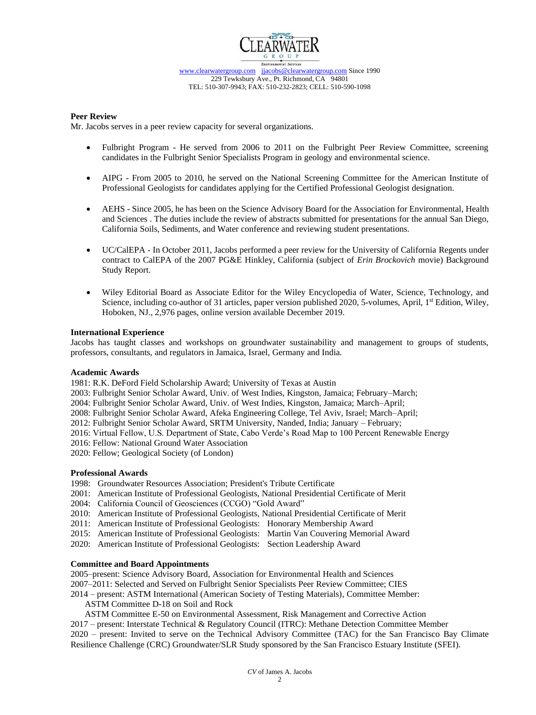

### **Peer Review**

Mr. Jacobs serves in a peer review capacity for several organizations.

- Fulbright Program He served from 2006 to 2011 on the Fulbright Peer Review Committee, screening candidates in the Fulbright Senior Specialists Program in geology and environmental science.
- AIPG From 2005 to 2010, he served on the National Screening Committee for the American Institute of Professional Geologists for candidates applying for the Certified Professional Geologist designation.
- AEHS Since 2005, he has been on the Science Advisory Board for the Association for Environmental, Health and Sciences . The duties include the review of abstracts submitted for presentations for the annual San Diego, California Soils, Sediments, and Water conference and reviewing student presentations.
- UC/CalEPA In October 2011, Jacobs performed a peer review for the University of California Regents under contract to CalEPA of the 2007 PG&E Hinkley, California (subject of *Erin Brockovich* movie) Background Study Report.
- Wiley Editorial Board as Associate Editor for the Wiley Encyclopedia of Water, Science, Technology, and Science, including co-author of 31 articles, paper version published 2020, 5-volumes, April,  $1<sup>st</sup>$  Edition, Wiley, Hoboken, NJ., 2,976 pages, online version available December 2019.

#### **International Experience**

Jacobs has taught classes and workshops on groundwater sustainability and management to groups of students, professors, consultants, and regulators in Jamaica, Israel, Germany and India.

#### **Academic Awards**

1981: R.K. DeFord Field Scholarship Award; University of Texas at Austin

2003: Fulbright Senior Scholar Award, Univ. of West Indies, Kingston, Jamaica; February–March;

2004: Fulbright Senior Scholar Award, Univ. of West Indies, Kingston, Jamaica; March–April;

2008: Fulbright Senior Scholar Award, Afeka Engineering College, Tel Aviv, Israel; March–April;

2012: Fulbright Senior Scholar Award, SRTM University, Nanded, India; January – February;

2016: Virtual Fellow, U.S. Department of State, Cabo Verde's Road Map to 100 Percent Renewable Energy

2016: Fellow: National Ground Water Association

2020: Fellow; Geological Society (of London)

### **Professional Awards**

1998: Groundwater Resources Association; President's Tribute Certificate

- 2001: American Institute of Professional Geologists, National Presidential Certificate of Merit
- 2004: California Council of Geosciences (CCGO) "Gold Award"
- 2010: American Institute of Professional Geologists, National Presidential Certificate of Merit
- 2011: American Institute of Professional Geologists: Honorary Membership Award
- 2015: American Institute of Professional Geologists: Martin Van Couvering Memorial Award
- 2020: American Institute of Professional Geologists: Section Leadership Award

### **Committee and Board Appointments**

2005–present: Science Advisory Board, Association for Environmental Health and Sciences

2007–2011: Selected and Served on Fulbright Senior Specialists Peer Review Committee; CIES

2014 – present: ASTM International (American Society of Testing Materials), Committee Member:

ASTM Committee D-18 on Soil and Rock

ASTM Committee E-50 on Environmental Assessment, Risk Management and Corrective Action

2017 – present: Interstate Technical & Regulatory Council (ITRC): Methane Detection Committee Member 2020 – present: Invited to serve on the Technical Advisory Committee (TAC) for the San Francisco Bay Climate Resilience Challenge (CRC) Groundwater/SLR Study sponsored by the San Francisco Estuary Institute (SFEI).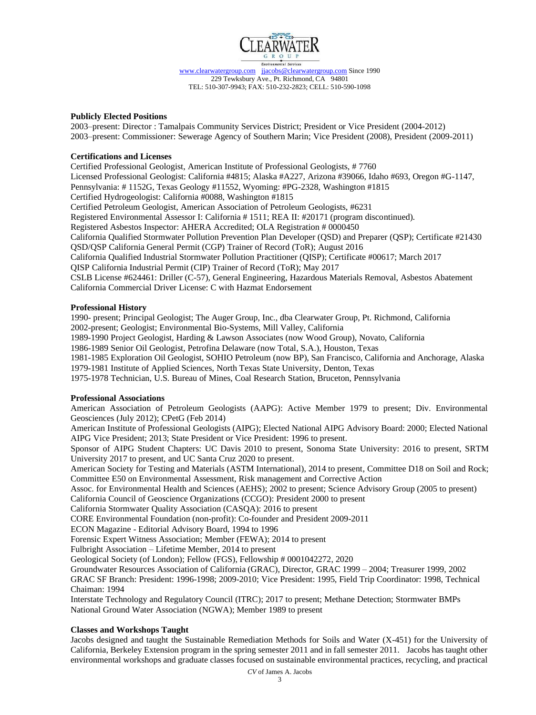

### **Publicly Elected Positions**

2003–present: Director : Tamalpais Community Services District; President or Vice President (2004-2012) 2003–present: Commissioner: Sewerage Agency of Southern Marin; Vice President (2008), President (2009-2011)

## **Certifications and Licenses**

Certified Professional Geologist, American Institute of Professional Geologists, # 7760 Licensed Professional Geologist: California #4815; Alaska #A227, Arizona #39066, Idaho #693, Oregon #G-1147, Pennsylvania: # 1152G, Texas Geology #11552, Wyoming: #PG-2328, Washington #1815 Certified Hydrogeologist: California #0088, Washington #1815 Certified Petroleum Geologist, American Association of Petroleum Geologists, #6231 Registered Environmental Assessor I: California # 1511; REA II: #20171 (program discontinued). Registered Asbestos Inspector: AHERA Accredited; OLA Registration # 0000450 California Qualified Stormwater Pollution Prevention Plan Developer (QSD) and Preparer (QSP); Certificate #21430 QSD/QSP California General Permit (CGP) Trainer of Record (ToR); August 2016 California Qualified Industrial Stormwater Pollution Practitioner (QISP); Certificate #00617; March 2017 QISP California Industrial Permit (CIP) Trainer of Record (ToR); May 2017 CSLB License #624461: Driller (C-57), General Engineering, Hazardous Materials Removal, Asbestos Abatement California Commercial Driver License: C with Hazmat Endorsement

## **Professional History**

1990- present; Principal Geologist; The Auger Group, Inc., dba Clearwater Group, Pt. Richmond, California 2002-present; Geologist; Environmental Bio-Systems, Mill Valley, California

1989-1990 Project Geologist, Harding & Lawson Associates (now Wood Group), Novato, California

1986-1989 Senior Oil Geologist, Petrofina Delaware (now Total, S.A.), Houston, Texas

1981-1985 Exploration Oil Geologist, SOHIO Petroleum (now BP), San Francisco, California and Anchorage, Alaska

1979-1981 Institute of Applied Sciences, North Texas State University, Denton, Texas

1975-1978 Technician, U.S. Bureau of Mines, Coal Research Station, Bruceton, Pennsylvania

### **Professional Associations**

American Association of Petroleum Geologists (AAPG): Active Member 1979 to present; Div. Environmental Geosciences (July 2012); CPetG (Feb 2014)

American Institute of Professional Geologists (AIPG); Elected National AIPG Advisory Board: 2000; Elected National AIPG Vice President; 2013; State President or Vice President: 1996 to present.

Sponsor of AIPG Student Chapters: UC Davis 2010 to present, Sonoma State University: 2016 to present, SRTM University 2017 to present, and UC Santa Cruz 2020 to present.

American Society for Testing and Materials (ASTM International), 2014 to present, Committee D18 on Soil and Rock; Committee E50 on Environmental Assessment, Risk management and Corrective Action

Assoc. for Environmental Health and Sciences (AEHS); 2002 to present; Science Advisory Group (2005 to present) California Council of Geoscience Organizations (CCGO): President 2000 to present

California Stormwater Quality Association (CASQA): 2016 to present

CORE Environmental Foundation (non-profit): Co-founder and President 2009-2011

ECON Magazine - Editorial Advisory Board, 1994 to 1996

Forensic Expert Witness Association; Member (FEWA); 2014 to present

Fulbright Association – Lifetime Member, 2014 to present

Geological Society (of London); Fellow (FGS), Fellowship # 0001042272, 2020

Groundwater Resources Association of California (GRAC), Director, GRAC 1999 – 2004; Treasurer 1999, 2002

GRAC SF Branch: President: 1996-1998; 2009-2010; Vice President: 1995, Field Trip Coordinator: 1998, Technical Chaiman: 1994

Interstate Technology and Regulatory Council (ITRC); 2017 to present; Methane Detection; Stormwater BMPs National Ground Water Association (NGWA); Member 1989 to present

### **Classes and Workshops Taught**

Jacobs designed and taught the Sustainable Remediation Methods for Soils and Water (X-451) for the University of California, Berkeley Extension program in the spring semester 2011 and in fall semester 2011. Jacobs has taught other environmental workshops and graduate classes focused on sustainable environmental practices, recycling, and practical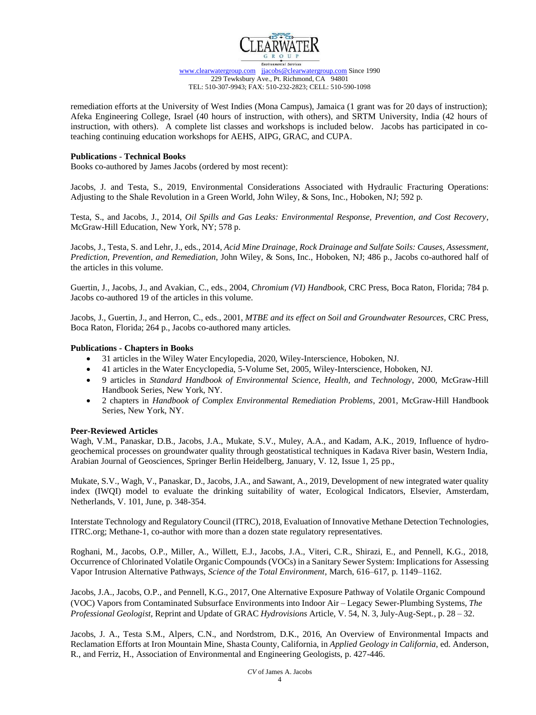

remediation efforts at the University of West Indies (Mona Campus), Jamaica (1 grant was for 20 days of instruction); Afeka Engineering College, Israel (40 hours of instruction, with others), and SRTM University, India (42 hours of instruction, with others). A complete list classes and workshops is included below. Jacobs has participated in coteaching continuing education workshops for AEHS, AIPG, GRAC, and CUPA.

### **Publications** - **Technical Books**

Books co-authored by James Jacobs (ordered by most recent):

Jacobs, J. and Testa, S., 2019, [Environmental Considerations Associated with Hydraulic Fracturing Operations:](https://www.amazon.com/Environmental-Considerations-Associated-Fracturing-Operations/dp/1119336090/ref=sr_1_1?ie=UTF8&qid=1540926685&sr=8-1&keywords=testa+jacobs+hydraulic+fracturing)  [Adjusting to the Shale Revolution in a Green World,](https://www.amazon.com/Environmental-Considerations-Associated-Fracturing-Operations/dp/1119336090/ref=sr_1_1?ie=UTF8&qid=1540926685&sr=8-1&keywords=testa+jacobs+hydraulic+fracturing) John Wiley, & Sons, Inc., Hoboken, NJ; 592 p.

Testa, S., and Jacobs, J., 2014, *Oil Spills and Gas Leaks: Environmental Response, Prevention, and Cost Recovery*, McGraw-Hill Education, New York, NY; 578 p.

Jacobs, J., Testa, S. and Lehr, J., eds., 2014, *Acid Mine Drainage, Rock Drainage and Sulfate Soils: Causes, Assessment, Prediction, Prevention, and Remediation*, John Wiley, & Sons, Inc., Hoboken, NJ; 486 p., Jacobs co-authored half of the articles in this volume.

Guertin, J., Jacobs, J., and Avakian, C., eds., 2004, *Chromium (VI) Handbook*, CRC Press, Boca Raton, Florida; 784 p. Jacobs co-authored 19 of the articles in this volume.

Jacobs, J., Guertin, J., and Herron, C., eds., 2001, *MTBE and its effect on Soil and Groundwater Resources*, CRC Press, Boca Raton, Florida; 264 p., Jacobs co-authored many articles.

## **Publications - Chapters in Books**

- 31 articles in the Wiley Water Encylopedia, 2020, Wiley-Interscience, Hoboken, NJ.
- 41 articles in the Water Encyclopedia, 5-Volume Set, 2005, Wiley-Interscience, Hoboken, NJ.
- 9 articles in *[Standard Handbook of Environmental Science, Health, and Technology](http://www.amazon.com/Standard-Handbook-Environmental-Science-Technology/dp/007038309X/ref=sr_1_1?ie=UTF8&qid=1438055558&sr=8-1&keywords=Standard+Handbook+environmental+lehr)*, 2000, McGraw-Hill [Handbook Series, New York, NY.](http://www.amazon.com/Standard-Handbook-Environmental-Science-Technology/dp/007038309X/ref=sr_1_1?ie=UTF8&qid=1438055558&sr=8-1&keywords=Standard+Handbook+environmental+lehr)
- 2 chapters in *[Handbook of Complex Environmental Remediation Problems](http://www.amazon.com/Handbook-Complex-Environmental-Remediation-Problems-ebook/dp/B000T81T9O/ref=sr_1_fkmr0_1?ie=UTF8&qid=1438055439&sr=8-1-fkmr0&keywords=complex+remediation+jay+lehr+Hazardous+Waste+Remediation%2C+J.+Lehr%2C+ed.%2C+John+Wiley+%26+Sons%2C)*, 2001, McGraw-Hill Handbook [Series, New York, NY.](http://www.amazon.com/Handbook-Complex-Environmental-Remediation-Problems-ebook/dp/B000T81T9O/ref=sr_1_fkmr0_1?ie=UTF8&qid=1438055439&sr=8-1-fkmr0&keywords=complex+remediation+jay+lehr+Hazardous+Waste+Remediation%2C+J.+Lehr%2C+ed.%2C+John+Wiley+%26+Sons%2C)

### **Peer-Reviewed Articles**

Wagh, V.M., Panaskar, D.B., Jacobs, J.A., Mukate, S.V., Muley, A.A., and Kadam, A.K., 2019, Influence of hydrogeochemical processes on groundwater quality through geostatistical techniques in Kadava River basin, Western India, Arabian Journal of Geosciences, Springer Berlin Heidelberg, January, V. 12, Issue 1, 25 pp.,

Mukate, S.V., Wagh, V., Panaskar, D., Jacobs, J.A., and Sawant, A., 2019, Development of new integrated water quality index (IWQI) model to evaluate the drinking suitability of water, Ecological Indicators, Elsevier, Amsterdam, Netherlands, V. 101, June, p. 348-354.

Interstate Technology and Regulatory Council (ITRC), 2018, Evaluation of Innovative Methane Detection Technologies, ITRC.org; Methane-1, co-author with more than a dozen state regulatory representatives.

Roghani, M., Jacobs, O.P., Miller, A., Willett, E.J., Jacobs, J.A., Viteri, C.R., Shirazi, E., and Pennell, K.G., 2018, Occurrence of Chlorinated Volatile Organic Compounds (VOCs) in a Sanitary Sewer System: Implications for Assessing Vapor Intrusion Alternative Pathways, *Science of the Total Environment*, March, 616–617, p. 1149–1162.

Jacobs, J.A., Jacobs, O.P., and Pennell, K.G., 2017, One Alternative Exposure Pathway of Volatile Organic Compound (VOC) Vapors from Contaminated Subsurface Environments into Indoor Air – Legacy Sewer-Plumbing Systems, *The Professional Geologist*, Reprint and Update of GRAC *Hydrovisions* Article, V. 54, N. 3, July-Aug-Sept., p. 28 – 32.

Jacobs, J. A., Testa S.M., Alpers, C.N., and Nordstrom, D.K., 2016, An Overview of Environmental Impacts and Reclamation Efforts at Iron Mountain Mine, Shasta County, California, in *Applied Geology in California*, ed. Anderson, R., and Ferriz, H., Association of Environmental and Engineering Geologists, p. 427-446.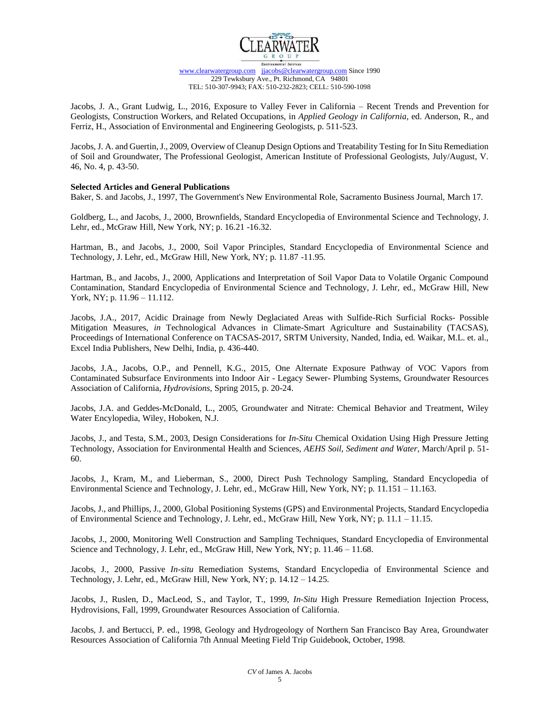

Jacobs, J. A., Grant Ludwig, L., 2016, Exposure to Valley Fever in California – Recent Trends and Prevention for Geologists, Construction Workers, and Related Occupations, in *Applied Geology in California*, ed. Anderson, R., and Ferriz, H., Association of Environmental and Engineering Geologists, p. 511-523.

Jacobs, J. A. and Guertin, J., 2009, Overview of Cleanup Design Options and Treatability Testing for In Situ Remediation of Soil and Groundwater, The Professional Geologist, American Institute of Professional Geologists, July/August, V. 46, No. 4, p. 43-50.

## **Selected Articles and General Publications**

Baker, S. and Jacobs, J., 1997, The Government's New Environmental Role, Sacramento Business Journal, March 17.

Goldberg, L., and Jacobs, J., 2000, Brownfields, Standard Encyclopedia of Environmental Science and Technology, J. Lehr, ed., McGraw Hill, New York, NY; p. 16.21 -16.32.

Hartman, B., and Jacobs, J., 2000, Soil Vapor Principles, Standard Encyclopedia of Environmental Science and Technology, J. Lehr, ed., McGraw Hill, New York, NY; p. 11.87 -11.95.

Hartman, B., and Jacobs, J., 2000, Applications and Interpretation of Soil Vapor Data to Volatile Organic Compound Contamination, Standard Encyclopedia of Environmental Science and Technology, J. Lehr, ed., McGraw Hill, New York, NY; p. 11.96 – 11.112.

Jacobs, J.A., 2017, Acidic Drainage from Newly Deglaciated Areas with Sulfide-Rich Surficial Rocks- Possible Mitigation Measures, *in* Technological Advances in Climate-Smart Agriculture and Sustainability (TACSAS), Proceedings of International Conference on TACSAS-2017, SRTM University, Nanded, India, ed. Waikar, M.L. et. al., Excel India Publishers, New Delhi, India, p. 436-440.

Jacobs, J.A., Jacobs, O.P., and Pennell, K.G., 2015, One Alternate Exposure Pathway of VOC Vapors from Contaminated Subsurface Environments into Indoor Air - Legacy Sewer- Plumbing Systems, Groundwater Resources Association of California, *Hydrovisions*, Spring 2015, p. 20-24.

Jacobs, J.A. and Geddes-McDonald, L., 2005, Groundwater and Nitrate: Chemical Behavior and Treatment, Wiley Water Encylopedia, Wiley, Hoboken, N.J.

Jacobs, J., and Testa, S.M., 2003, Design Considerations for *In-Situ* Chemical Oxidation Using High Pressure Jetting Technology, Association for Environmental Health and Sciences, *AEHS Soil, Sediment and Water*, March/April p. 51- 60.

Jacobs, J., Kram, M., and Lieberman, S., 2000, Direct Push Technology Sampling, Standard Encyclopedia of Environmental Science and Technology, J. Lehr, ed., McGraw Hill, New York, NY; p. 11.151 – 11.163.

Jacobs, J., and Phillips, J., 2000, Global Positioning Systems (GPS) and Environmental Projects, Standard Encyclopedia of Environmental Science and Technology, J. Lehr, ed., McGraw Hill, New York, NY; p. 11.1 – 11.15.

Jacobs, J., 2000, Monitoring Well Construction and Sampling Techniques, Standard Encyclopedia of Environmental Science and Technology, J. Lehr, ed., McGraw Hill, New York, NY; p. 11.46 – 11.68.

Jacobs, J., 2000, Passive *In-situ* Remediation Systems, Standard Encyclopedia of Environmental Science and Technology, J. Lehr, ed., McGraw Hill, New York, NY; p. 14.12 – 14.25.

Jacobs, J., Ruslen, D., MacLeod, S., and Taylor, T., 1999, *In-Situ* High Pressure Remediation Injection Process, Hydrovisions, Fall, 1999, Groundwater Resources Association of California.

Jacobs, J. and Bertucci, P. ed., 1998, Geology and Hydrogeology of Northern San Francisco Bay Area, Groundwater Resources Association of California 7th Annual Meeting Field Trip Guidebook, October, 1998.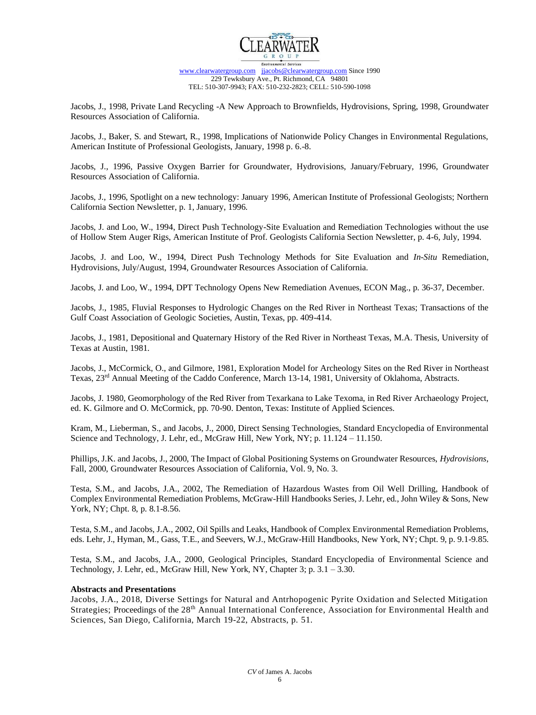

Jacobs, J., 1998, Private Land Recycling -A New Approach to Brownfields, Hydrovisions, Spring, 1998, Groundwater Resources Association of California.

Jacobs, J., Baker, S. and Stewart, R., 1998, Implications of Nationwide Policy Changes in Environmental Regulations, American Institute of Professional Geologists, January, 1998 p. 6.-8.

Jacobs, J., 1996, Passive Oxygen Barrier for Groundwater, Hydrovisions, January/February, 1996, Groundwater Resources Association of California.

Jacobs, J., 1996, Spotlight on a new technology: January 1996, American Institute of Professional Geologists; Northern California Section Newsletter, p. 1, January, 1996.

Jacobs, J. and Loo, W., 1994, Direct Push Technology-Site Evaluation and Remediation Technologies without the use of Hollow Stem Auger Rigs, American Institute of Prof. Geologists California Section Newsletter, p. 4-6, July, 1994.

Jacobs, J. and Loo, W., 1994, Direct Push Technology Methods for Site Evaluation and *In-Situ* Remediation, Hydrovisions, July/August, 1994, Groundwater Resources Association of California.

Jacobs, J. and Loo, W., 1994, DPT Technology Opens New Remediation Avenues, ECON Mag., p. 36-37, December.

Jacobs, J., 1985, Fluvial Responses to Hydrologic Changes on the Red River in Northeast Texas; Transactions of the Gulf Coast Association of Geologic Societies, Austin, Texas, pp. 409-414.

Jacobs, J., 1981, Depositional and Quaternary History of the Red River in Northeast Texas, M.A. Thesis, University of Texas at Austin, 1981.

Jacobs, J., McCormick, O., and Gilmore, 1981, Exploration Model for Archeology Sites on the Red River in Northeast Texas, 23<sup>rd</sup> Annual Meeting of the Caddo Conference, March 13-14, 1981, University of Oklahoma, Abstracts.

Jacobs, J. 1980, Geomorphology of the Red River from Texarkana to Lake Texoma, in Red River Archaeology Project, ed. K. Gilmore and O. McCormick, pp. 70-90. Denton, Texas: Institute of Applied Sciences.

Kram, M., Lieberman, S., and Jacobs, J., 2000, Direct Sensing Technologies, Standard Encyclopedia of Environmental Science and Technology, J. Lehr, ed., McGraw Hill, New York, NY; p. 11.124 – 11.150.

Phillips, J.K. and Jacobs, J., 2000, The Impact of Global Positioning Systems on Groundwater Resources, *Hydrovisions*, Fall, 2000, Groundwater Resources Association of California, Vol. 9, No. 3.

Testa, S.M., and Jacobs, J.A., 2002, The Remediation of Hazardous Wastes from Oil Well Drilling, Handbook of Complex Environmental Remediation Problems, McGraw-Hill Handbooks Series, J. Lehr, ed., John Wiley & Sons, New York, NY; Chpt. 8, p. 8.1-8.56.

Testa, S.M., and Jacobs, J.A., 2002, Oil Spills and Leaks, Handbook of Complex Environmental Remediation Problems, eds. Lehr, J., Hyman, M., Gass, T.E., and Seevers, W.J., McGraw-Hill Handbooks, New York, NY; Chpt. 9, p. 9.1-9.85.

Testa, S.M., and Jacobs, J.A., 2000, Geological Principles, Standard Encyclopedia of Environmental Science and Technology, J. Lehr, ed., McGraw Hill, New York, NY, Chapter 3; p. 3.1 – 3.30.

#### **Abstracts and Presentations**

Jacobs, J.A., 2018, Diverse Settings for Natural and Antrhopogenic Pyrite Oxidation and Selected Mitigation Strategies; Proceedings of the 28<sup>th</sup> Annual International Conference, Association for Environmental Health and Sciences, San Diego, California, March 19-22, Abstracts, p. 51.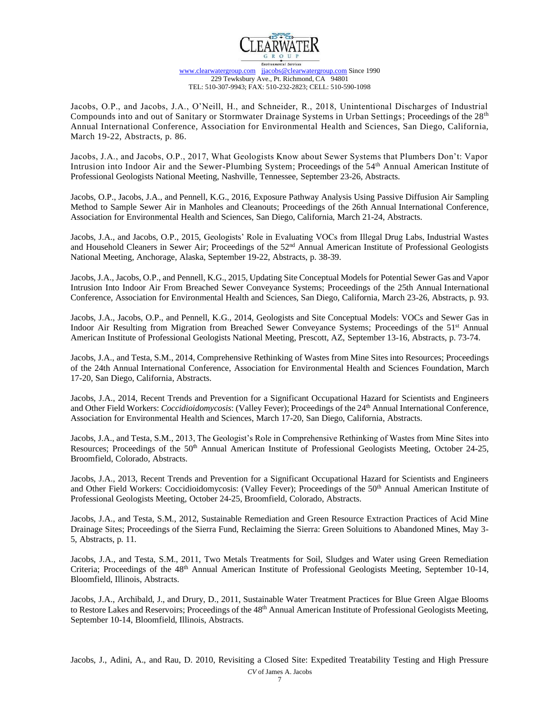

Jacobs, O.P., and Jacobs, J.A., O'Neill, H., and Schneider, R., 2018, Unintentional Discharges of Industrial Compounds into and out of Sanitary or Stormwater Drainage Systems in Urban Settings; Proceedings of the 28<sup>th</sup> Annual International Conference, Association for Environmental Health and Sciences, San Diego, California, March 19-22, Abstracts, p. 86.

Jacobs, J.A., and Jacobs, O.P., 2017, What Geologists Know about Sewer Systems that Plumbers Don't: Vapor Intrusion into Indoor Air and the Sewer-Plumbing System; Proceedings of the 54<sup>th</sup> Annual American Institute of Professional Geologists National Meeting, Nashville, Tennessee, September 23-26, Abstracts.

Jacobs, O.P., Jacobs, J.A., and Pennell, K.G., 2016, Exposure Pathway Analysis Using Passive Diffusion Air Sampling Method to Sample Sewer Air in Manholes and Cleanouts; Proceedings of the 26th Annual International Conference, Association for Environmental Health and Sciences, San Diego, California, March 21-24, Abstracts.

Jacobs, J.A., and Jacobs, O.P., 2015, Geologists' Role in Evaluating VOCs from Illegal Drug Labs, Industrial Wastes and Household Cleaners in Sewer Air; Proceedings of the 52<sup>nd</sup> Annual American Institute of Professional Geologists National Meeting, Anchorage, Alaska, September 19-22, Abstracts, p. 38-39.

Jacobs, J.A., Jacobs, O.P., and Pennell, K.G., 2015, Updating Site Conceptual Models for Potential Sewer Gas and Vapor Intrusion Into Indoor Air From Breached Sewer Conveyance Systems; Proceedings of the 25th Annual International Conference, Association for Environmental Health and Sciences, San Diego, California, March 23-26, Abstracts, p. 93.

Jacobs, J.A., Jacobs, O.P., and Pennell, K.G., 2014, Geologists and Site Conceptual Models: VOCs and Sewer Gas in Indoor Air Resulting from Migration from Breached Sewer Conveyance Systems; Proceedings of the 51st Annual American Institute of Professional Geologists National Meeting, Prescott, AZ, September 13-16, Abstracts, p. 73-74.

Jacobs, J.A., and Testa, S.M., 2014, Comprehensive Rethinking of Wastes from Mine Sites into Resources; Proceedings of the 24th Annual International Conference, Association for Environmental Health and Sciences Foundation, March 17-20, San Diego, California, Abstracts.

Jacobs, J.A., 2014, Recent Trends and Prevention for a Significant Occupational Hazard for Scientists and Engineers and Other Field Workers: *Coccidioidomycosis*: (Valley Fever); Proceedings of the 24<sup>th</sup> Annual International Conference, Association for Environmental Health and Sciences, March 17-20, San Diego, California, Abstracts.

Jacobs, J.A., and Testa, S.M., 2013, The Geologist's Role in Comprehensive Rethinking of Wastes from Mine Sites into Resources; Proceedings of the 50<sup>th</sup> Annual American Institute of Professional Geologists Meeting, October 24-25, Broomfield, Colorado, Abstracts.

Jacobs, J.A., 2013, Recent Trends and Prevention for a Significant Occupational Hazard for Scientists and Engineers and Other Field Workers: Coccidioidomycosis: (Valley Fever); Proceedings of the 50<sup>th</sup> Annual American Institute of Professional Geologists Meeting, October 24-25, Broomfield, Colorado, Abstracts.

Jacobs, J.A., and Testa, S.M., 2012, Sustainable Remediation and Green Resource Extraction Practices of Acid Mine Drainage Sites; Proceedings of the Sierra Fund, Reclaiming the Sierra: Green Soluitions to Abandoned Mines, May 3- 5, Abstracts, p. 11.

Jacobs, J.A., and Testa, S.M., 2011, Two Metals Treatments for Soil, Sludges and Water using Green Remediation Criteria; Proceedings of the 48<sup>th</sup> Annual American Institute of Professional Geologists Meeting, September 10-14, Bloomfield, Illinois, Abstracts.

Jacobs, J.A., Archibald, J., and Drury, D., 2011, Sustainable Water Treatment Practices for Blue Green Algae Blooms to Restore Lakes and Reservoirs; Proceedings of the 48<sup>th</sup> Annual American Institute of Professional Geologists Meeting, September 10-14, Bloomfield, Illinois, Abstracts.

*CV* of James A. Jacobs Jacobs, J., Adini, A., and Rau, D. 2010, Revisiting a Closed Site: Expedited Treatability Testing and High Pressure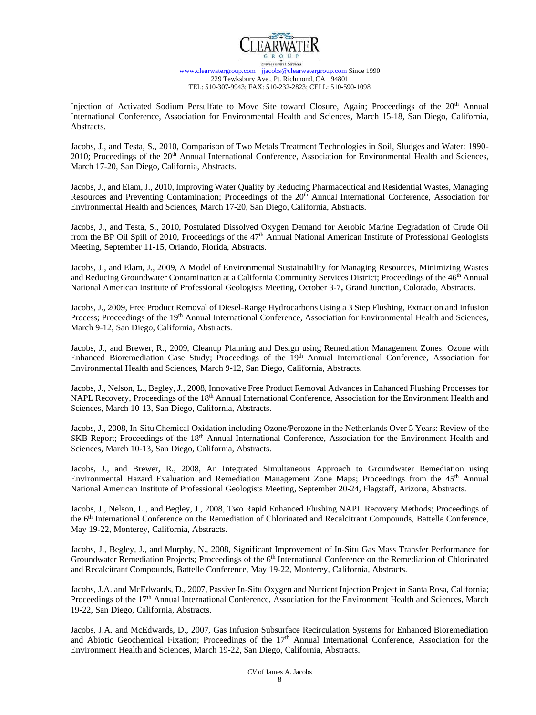

Injection of Activated Sodium Persulfate to Move Site toward Closure, Again; Proceedings of the 20<sup>th</sup> Annual International Conference, Association for Environmental Health and Sciences, March 15-18, San Diego, California, Abstracts.

Jacobs, J., and Testa, S., 2010, Comparison of Two Metals Treatment Technologies in Soil, Sludges and Water: 1990- 2010; Proceedings of the 20<sup>th</sup> Annual International Conference, Association for Environmental Health and Sciences, March 17-20, San Diego, California, Abstracts.

Jacobs, J., and Elam, J., 2010, Improving Water Quality by Reducing Pharmaceutical and Residential Wastes, Managing Resources and Preventing Contamination; Proceedings of the 20<sup>th</sup> Annual International Conference, Association for Environmental Health and Sciences, March 17-20, San Diego, California, Abstracts.

Jacobs, J., and Testa, S., 2010, Postulated Dissolved Oxygen Demand for Aerobic Marine Degradation of Crude Oil from the BP Oil Spill of 2010, Proceedings of the 47<sup>th</sup> Annual National American Institute of Professional Geologists Meeting, September 11-15, Orlando, Florida, Abstracts.

Jacobs, J., and Elam, J., 2009, A Model of Environmental Sustainability for Managing Resources, Minimizing Wastes and Reducing Groundwater Contamination at a California Community Services District; Proceedings of the 46<sup>th</sup> Annual National American Institute of Professional Geologists Meeting, October 3-7**,** Grand Junction, Colorado, Abstracts.

Jacobs, J., 2009, Free Product Removal of Diesel-Range Hydrocarbons Using a 3 Step Flushing, Extraction and Infusion Process; Proceedings of the 19<sup>th</sup> Annual International Conference, Association for Environmental Health and Sciences, March 9-12, San Diego, California, Abstracts.

Jacobs, J., and Brewer, R., 2009, Cleanup Planning and Design using Remediation Management Zones: Ozone with Enhanced Bioremediation Case Study; Proceedings of the 19<sup>th</sup> Annual International Conference, Association for Environmental Health and Sciences, March 9-12, San Diego, California, Abstracts.

Jacobs, J., Nelson, L., Begley, J., 2008, Innovative Free Product Removal Advances in Enhanced Flushing Processes for NAPL Recovery, Proceedings of the 18<sup>th</sup> Annual International Conference, Association for the Environment Health and Sciences, March 10-13, San Diego, California, Abstracts.

Jacobs, J., 2008, In-Situ Chemical Oxidation including Ozone/Perozone in the Netherlands Over 5 Years: Review of the SKB Report; Proceedings of the 18<sup>th</sup> Annual International Conference, Association for the Environment Health and Sciences, March 10-13, San Diego, California, Abstracts.

Jacobs, J., and Brewer, R., 2008, An Integrated Simultaneous Approach to Groundwater Remediation using Environmental Hazard Evaluation and Remediation Management Zone Maps; Proceedings from the 45th Annual National American Institute of Professional Geologists Meeting, September 20-24, Flagstaff, Arizona, Abstracts.

Jacobs, J., Nelson, L., and Begley, J., 2008, Two Rapid Enhanced Flushing NAPL Recovery Methods; Proceedings of the 6th International Conference on the Remediation of Chlorinated and Recalcitrant Compounds, Battelle Conference, May 19-22, Monterey, California, Abstracts.

Jacobs, J., Begley, J., and Murphy, N., 2008, Significant Improvement of In-Situ Gas Mass Transfer Performance for Groundwater Remediation Projects; Proceedings of the 6<sup>th</sup> International Conference on the Remediation of Chlorinated and Recalcitrant Compounds, Battelle Conference, May 19-22, Monterey, California, Abstracts.

Jacobs, J.A. and McEdwards, D., 2007, Passive In-Situ Oxygen and Nutrient Injection Project in Santa Rosa, California; Proceedings of the 17<sup>th</sup> Annual International Conference, Association for the Environment Health and Sciences, March 19-22, San Diego, California, Abstracts.

Jacobs, J.A. and McEdwards, D., 2007, Gas Infusion Subsurface Recirculation Systems for Enhanced Bioremediation and Abiotic Geochemical Fixation; Proceedings of the  $17<sup>th</sup>$  Annual International Conference, Association for the Environment Health and Sciences, March 19-22, San Diego, California, Abstracts.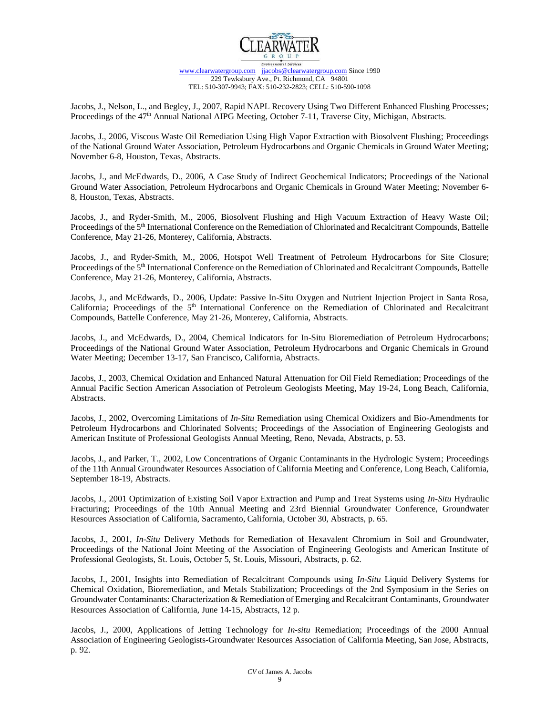

Jacobs, J., Nelson, L., and Begley, J., 2007, Rapid NAPL Recovery Using Two Different Enhanced Flushing Processes; Proceedings of the 47<sup>th</sup> Annual National AIPG Meeting, October 7-11, Traverse City, Michigan, Abstracts.

Jacobs, J., 2006, Viscous Waste Oil Remediation Using High Vapor Extraction with Biosolvent Flushing; Proceedings of the National Ground Water Association, Petroleum Hydrocarbons and Organic Chemicals in Ground Water Meeting; November 6-8, Houston, Texas, Abstracts.

Jacobs, J., and McEdwards, D., 2006, A Case Study of Indirect Geochemical Indicators; Proceedings of the National Ground Water Association, Petroleum Hydrocarbons and Organic Chemicals in Ground Water Meeting; November 6- 8, Houston, Texas, Abstracts.

Jacobs, J., and Ryder-Smith, M., 2006, Biosolvent Flushing and High Vacuum Extraction of Heavy Waste Oil; Proceedings of the 5<sup>th</sup> International Conference on the Remediation of Chlorinated and Recalcitrant Compounds, Battelle Conference, May 21-26, Monterey, California, Abstracts.

Jacobs, J., and Ryder-Smith, M., 2006, Hotspot Well Treatment of Petroleum Hydrocarbons for Site Closure; Proceedings of the 5<sup>th</sup> International Conference on the Remediation of Chlorinated and Recalcitrant Compounds, Battelle Conference, May 21-26, Monterey, California, Abstracts.

Jacobs, J., and McEdwards, D., 2006, Update: Passive In-Situ Oxygen and Nutrient Injection Project in Santa Rosa, California; Proceedings of the 5<sup>th</sup> International Conference on the Remediation of Chlorinated and Recalcitrant Compounds, Battelle Conference, May 21-26, Monterey, California, Abstracts.

Jacobs, J., and McEdwards, D., 2004, Chemical Indicators for In-Situ Bioremediation of Petroleum Hydrocarbons; Proceedings of the National Ground Water Association, Petroleum Hydrocarbons and Organic Chemicals in Ground Water Meeting; December 13-17, San Francisco, California, Abstracts.

Jacobs, J., 2003, Chemical Oxidation and Enhanced Natural Attenuation for Oil Field Remediation; Proceedings of the Annual Pacific Section American Association of Petroleum Geologists Meeting, May 19-24, Long Beach, California, Abstracts.

Jacobs, J., 2002, Overcoming Limitations of *In-Situ* Remediation using Chemical Oxidizers and Bio-Amendments for Petroleum Hydrocarbons and Chlorinated Solvents; Proceedings of the Association of Engineering Geologists and American Institute of Professional Geologists Annual Meeting, Reno, Nevada, Abstracts, p. 53.

Jacobs, J., and Parker, T., 2002, Low Concentrations of Organic Contaminants in the Hydrologic System; Proceedings of the 11th Annual Groundwater Resources Association of California Meeting and Conference, Long Beach, California, September 18-19, Abstracts.

Jacobs, J., 2001 Optimization of Existing Soil Vapor Extraction and Pump and Treat Systems using *In-Situ* Hydraulic Fracturing; Proceedings of the 10th Annual Meeting and 23rd Biennial Groundwater Conference, Groundwater Resources Association of California, Sacramento, California, October 30, Abstracts, p. 65.

Jacobs, J., 2001, *In-Situ* Delivery Methods for Remediation of Hexavalent Chromium in Soil and Groundwater, Proceedings of the National Joint Meeting of the Association of Engineering Geologists and American Institute of Professional Geologists, St. Louis, October 5, St. Louis, Missouri, Abstracts, p. 62.

Jacobs, J., 2001, Insights into Remediation of Recalcitrant Compounds using *In-Situ* Liquid Delivery Systems for Chemical Oxidation, Bioremediation, and Metals Stabilization; Proceedings of the 2nd Symposium in the Series on Groundwater Contaminants: Characterization & Remediation of Emerging and Recalcitrant Contaminants, Groundwater Resources Association of California, June 14-15, Abstracts, 12 p.

Jacobs, J., 2000, Applications of Jetting Technology for *In-situ* Remediation; Proceedings of the 2000 Annual Association of Engineering Geologists-Groundwater Resources Association of California Meeting, San Jose, Abstracts, p. 92.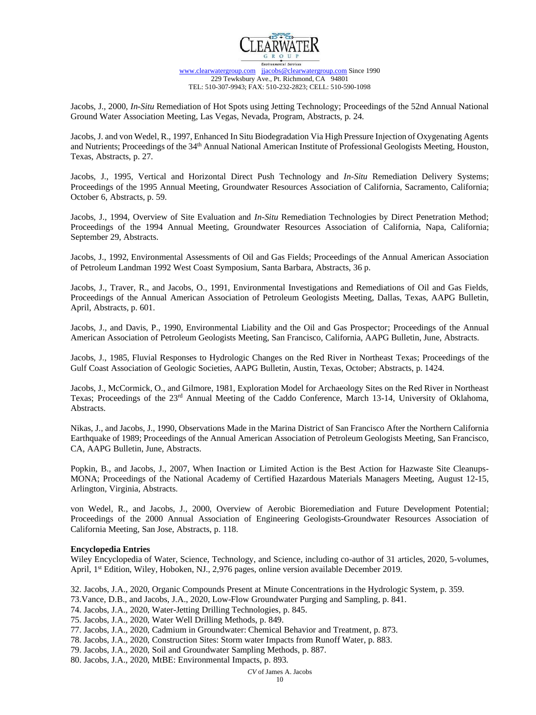

Jacobs, J., 2000, *In-Situ* Remediation of Hot Spots using Jetting Technology; Proceedings of the 52nd Annual National Ground Water Association Meeting, Las Vegas, Nevada, Program, Abstracts, p. 24.

Jacobs, J. and von Wedel, R., 1997, Enhanced In Situ Biodegradation Via High Pressure Injection of Oxygenating Agents and Nutrients; Proceedings of the 34<sup>th</sup> Annual National American Institute of Professional Geologists Meeting, Houston, Texas, Abstracts, p. 27.

Jacobs, J., 1995, Vertical and Horizontal Direct Push Technology and *In-Situ* Remediation Delivery Systems; Proceedings of the 1995 Annual Meeting, Groundwater Resources Association of California, Sacramento, California; October 6, Abstracts, p. 59.

Jacobs, J., 1994, Overview of Site Evaluation and *In-Situ* Remediation Technologies by Direct Penetration Method; Proceedings of the 1994 Annual Meeting, Groundwater Resources Association of California, Napa, California; September 29, Abstracts.

Jacobs, J., 1992, Environmental Assessments of Oil and Gas Fields; Proceedings of the Annual American Association of Petroleum Landman 1992 West Coast Symposium, Santa Barbara, Abstracts, 36 p.

Jacobs, J., Traver, R., and Jacobs, O., 1991, Environmental Investigations and Remediations of Oil and Gas Fields, Proceedings of the Annual American Association of Petroleum Geologists Meeting, Dallas, Texas, AAPG Bulletin, April, Abstracts, p. 601.

Jacobs, J., and Davis, P., 1990, Environmental Liability and the Oil and Gas Prospector; Proceedings of the Annual American Association of Petroleum Geologists Meeting, San Francisco, California, AAPG Bulletin, June, Abstracts.

Jacobs, J., 1985, Fluvial Responses to Hydrologic Changes on the Red River in Northeast Texas; Proceedings of the Gulf Coast Association of Geologic Societies, AAPG Bulletin, Austin, Texas, October; Abstracts, p. 1424.

Jacobs, J., McCormick, O., and Gilmore, 1981, Exploration Model for Archaeology Sites on the Red River in Northeast Texas; Proceedings of the 23rd Annual Meeting of the Caddo Conference, March 13-14, University of Oklahoma, Abstracts.

Nikas, J., and Jacobs, J., 1990, Observations Made in the Marina District of San Francisco After the Northern California Earthquake of 1989; Proceedings of the Annual American Association of Petroleum Geologists Meeting, San Francisco, CA, AAPG Bulletin, June, Abstracts.

Popkin, B., and Jacobs, J., 2007, When Inaction or Limited Action is the Best Action for Hazwaste Site Cleanups-MONA; Proceedings of the National Academy of Certified Hazardous Materials Managers Meeting, August 12-15, Arlington, Virginia, Abstracts.

von Wedel, R., and Jacobs, J., 2000, Overview of Aerobic Bioremediation and Future Development Potential; Proceedings of the 2000 Annual Association of Engineering Geologists-Groundwater Resources Association of California Meeting, San Jose, Abstracts, p. 118.

### **Encyclopedia Entries**

Wiley Encyclopedia of Water, Science, Technology, and Science, including co-author of 31 articles, 2020, 5-volumes, April, 1<sup>st</sup> Edition, Wiley, Hoboken, NJ., 2,976 pages, online version available December 2019.

32. Jacobs, J.A., 2020, Organic Compounds Present at Minute Concentrations in the Hydrologic System, p. 359.

73.Vance, D.B., and Jacobs, J.A., 2020, Low-Flow Groundwater Purging and Sampling, p. 841.

- 74. Jacobs, J.A., 2020, Water-Jetting Drilling Technologies, p. 845.
- 75. Jacobs, J.A., 2020, Water Well Drilling Methods, p. 849.

77. Jacobs, J.A., 2020, Cadmium in Groundwater: Chemical Behavior and Treatment, p. 873.

78. Jacobs, J.A., 2020, Construction Sites: Storm water Impacts from Runoff Water, p. 883.

79. Jacobs, J.A., 2020, Soil and Groundwater Sampling Methods, p. 887.

80. Jacobs, J.A., 2020, MtBE: Environmental Impacts, p. 893.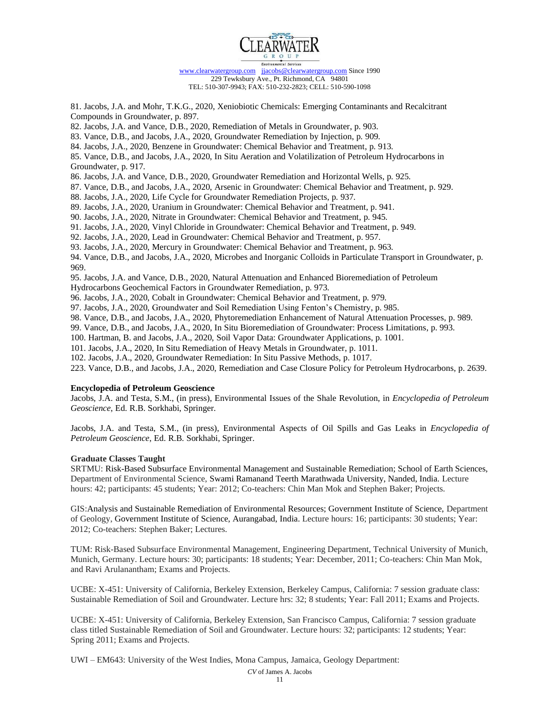

81. Jacobs, J.A. and Mohr, T.K.G., 2020, Xeniobiotic Chemicals: Emerging Contaminants and Recalcitrant Compounds in Groundwater, p. 897.

82. Jacobs, J.A. and Vance, D.B., 2020, Remediation of Metals in Groundwater, p. 903.

83. Vance, D.B., and Jacobs, J.A., 2020, Groundwater Remediation by Injection, p. 909.

84. Jacobs, J.A., 2020, Benzene in Groundwater: Chemical Behavior and Treatment, p. 913.

85. Vance, D.B., and Jacobs, J.A., 2020, In Situ Aeration and Volatilization of Petroleum Hydrocarbons in Groundwater, p. 917.

86. Jacobs, J.A. and Vance, D.B., 2020, Groundwater Remediation and Horizontal Wells, p. 925.

87. Vance, D.B., and Jacobs, J.A., 2020, Arsenic in Groundwater: Chemical Behavior and Treatment, p. 929.

88. Jacobs, J.A., 2020, Life Cycle for Groundwater Remediation Projects, p. 937.

89. Jacobs, J.A., 2020, Uranium in Groundwater: Chemical Behavior and Treatment, p. 941.

90. Jacobs, J.A., 2020, Nitrate in Groundwater: Chemical Behavior and Treatment, p. 945.

91. Jacobs, J.A., 2020, Vinyl Chloride in Groundwater: Chemical Behavior and Treatment, p. 949.

92. Jacobs, J.A., 2020, Lead in Groundwater: Chemical Behavior and Treatment, p. 957.

93. Jacobs, J.A., 2020, Mercury in Groundwater: Chemical Behavior and Treatment, p. 963.

94. Vance, D.B., and Jacobs, J.A., 2020, Microbes and Inorganic Colloids in Particulate Transport in Groundwater, p. 969.

95. Jacobs, J.A. and Vance, D.B., 2020, Natural Attenuation and Enhanced Bioremediation of Petroleum

Hydrocarbons Geochemical Factors in Groundwater Remediation, p. 973.

96. Jacobs, J.A., 2020, Cobalt in Groundwater: Chemical Behavior and Treatment, p. 979.

97. Jacobs, J.A., 2020, Groundwater and Soil Remediation Using Fenton's Chemistry, p. 985.

98. Vance, D.B., and Jacobs, J.A., 2020, Phytoremediation Enhancement of Natural Attenuation Processes, p. 989.

99. Vance, D.B., and Jacobs, J.A., 2020, In Situ Bioremediation of Groundwater: Process Limitations, p. 993.

100. Hartman, B. and Jacobs, J.A., 2020, Soil Vapor Data: Groundwater Applications, p. 1001.

101. Jacobs, J.A., 2020, In Situ Remediation of Heavy Metals in Groundwater, p. 1011.

102. Jacobs, J.A., 2020, Groundwater Remediation: In Situ Passive Methods, p. 1017.

223. Vance, D.B., and Jacobs, J.A., 2020, Remediation and Case Closure Policy for Petroleum Hydrocarbons, p. 2639.

### **Encyclopedia of Petroleum Geoscience**

Jacobs, J.A. and Testa, S.M., (in press), Environmental Issues of the Shale Revolution, in *Encyclopedia of Petroleum Geoscience*, Ed. R.B. Sorkhabi, Springer.

Jacobs, J.A. and Testa, S.M., (in press), Environmental Aspects of Oil Spills and Gas Leaks in *Encyclopedia of Petroleum Geoscience*, Ed. R.B. Sorkhabi, Springer.

### **Graduate Classes Taught**

SRTMU: Risk-Based Subsurface Environmental Management and Sustainable Remediation; School of Earth Sciences, Department of Environmental Science, Swami Ramanand Teerth Marathwada University, Nanded, India. Lecture hours: 42; participants: 45 students; Year: 2012; Co-teachers: Chin Man Mok and Stephen Baker; Projects.

GIS:Analysis and Sustainable Remediation of Environmental Resources; Government Institute of Science, Department of Geology, Government Institute of Science, Aurangabad, India. Lecture hours: 16; participants: 30 students; Year: 2012; Co-teachers: Stephen Baker; Lectures.

TUM: Risk-Based Subsurface Environmental Management, Engineering Department, Technical University of Munich, Munich, Germany. Lecture hours: 30; participants: 18 students; Year: December, 2011; Co-teachers: Chin Man Mok, and Ravi Arulanantham; Exams and Projects.

UCBE: X-451: University of California, Berkeley Extension, Berkeley Campus, California: 7 session graduate class: Sustainable Remediation of Soil and Groundwater. Lecture hrs: 32; 8 students; Year: Fall 2011; Exams and Projects.

UCBE: X-451: University of California, Berkeley Extension, San Francisco Campus, California: 7 session graduate class titled Sustainable Remediation of Soil and Groundwater. Lecture hours: 32; participants: 12 students; Year: Spring 2011; Exams and Projects.

UWI – EM643: University of the West Indies, Mona Campus, Jamaica, Geology Department:

11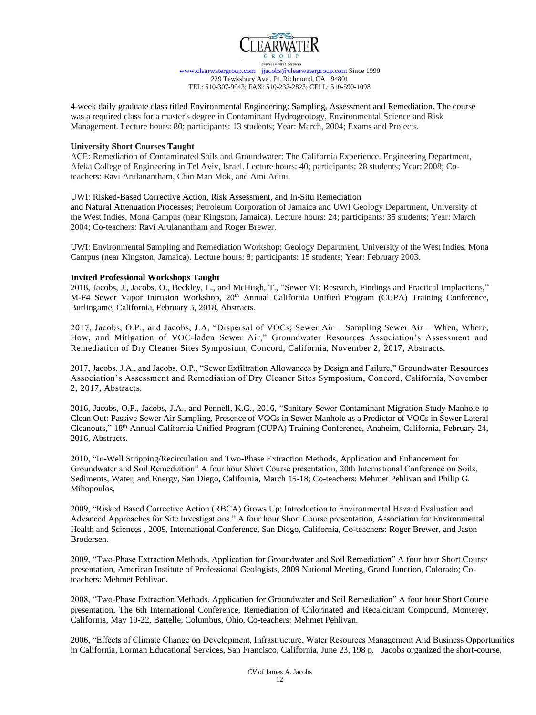

4-week daily graduate class titled Environmental Engineering: Sampling, Assessment and Remediation. The course was a required class for a master's degree in Contaminant Hydrogeology, Environmental Science and Risk Management. Lecture hours: 80; participants: 13 students; Year: March, 2004; Exams and Projects.

### **University Short Courses Taught**

ACE: Remediation of Contaminated Soils and Groundwater: The California Experience. Engineering Department, Afeka College of Engineering in Tel Aviv, Israel. Lecture hours: 40; participants: 28 students; Year: 2008; Coteachers: Ravi Arulanantham, Chin Man Mok, and Ami Adini.

## UWI: Risked-Based Corrective Action, Risk Assessment, and In-Situ Remediation

and Natural Attenuation Processes; Petroleum Corporation of Jamaica and UWI Geology Department, University of the West Indies, Mona Campus (near Kingston, Jamaica). Lecture hours: 24; participants: 35 students; Year: March 2004; Co-teachers: Ravi Arulanantham and Roger Brewer.

UWI: Environmental Sampling and Remediation Workshop; Geology Department, University of the West Indies, Mona Campus (near Kingston, Jamaica). Lecture hours: 8; participants: 15 students; Year: February 2003.

## **Invited Professional Workshops Taught**

2018, Jacobs, J., Jacobs, O., Beckley, L., and McHugh, T., "Sewer VI: Research, Findings and Practical Implactions," M-F4 Sewer Vapor Intrusion Workshop, 20<sup>th</sup> Annual California Unified Program (CUPA) Training Conference, Burlingame, California, February 5, 2018, Abstracts.

2017, Jacobs, O.P., and Jacobs, J.A, "Dispersal of VOCs; Sewer Air – Sampling Sewer Air – When, Where, How, and Mitigation of VOC-laden Sewer Air," Groundwater Resources Association's Assessment and Remediation of Dry Cleaner Sites Symposium, Concord, California, November 2, 2017, Abstracts.

2017, Jacobs, J.A., and Jacobs, O.P., "Sewer Exfiltration Allowances by Design and Failure," Groundwater Resources Association's Assessment and Remediation of Dry Cleaner Sites Symposium, Concord, California, November 2, 2017, Abstracts.

2016, Jacobs, O.P., Jacobs, J.A., and Pennell, K.G., 2016, "Sanitary Sewer Contaminant Migration Study Manhole to Clean Out: Passive Sewer Air Sampling, Presence of VOCs in Sewer Manhole as a Predictor of VOCs in Sewer Lateral Cleanouts," 18<sup>th</sup> Annual California Unified Program (CUPA) Training Conference, Anaheim, California, February 24, 2016, Abstracts.

2010, "In-Well Stripping/Recirculation and Two-Phase Extraction Methods, Application and Enhancement for Groundwater and Soil Remediation" A four hour Short Course presentation, 20th International Conference on Soils, Sediments, Water, and Energy, San Diego, California, March 15-18; Co-teachers: Mehmet Pehlivan and Philip G. Mihopoulos,

2009, "Risked Based Corrective Action (RBCA) Grows Up: Introduction to Environmental Hazard Evaluation and Advanced Approaches for Site Investigations." A four hour Short Course presentation, Association for Environmental Health and Sciences , 2009, International Conference, San Diego, California, Co-teachers: Roger Brewer, and Jason Brodersen.

2009, "Two-Phase Extraction Methods, Application for Groundwater and Soil Remediation" A four hour Short Course presentation, American Institute of Professional Geologists, 2009 National Meeting, Grand Junction, Colorado; Coteachers: Mehmet Pehlivan.

2008, "Two-Phase Extraction Methods, Application for Groundwater and Soil Remediation" A four hour Short Course presentation, The 6th International Conference, Remediation of Chlorinated and Recalcitrant Compound, Monterey, California, May 19-22, Battelle, Columbus, Ohio, Co-teachers: Mehmet Pehlivan.

2006, "Effects of Climate Change on Development, Infrastructure, Water Resources Management And Business Opportunities in California, Lorman Educational Services, San Francisco, California, June 23, 198 p. Jacobs organized the short-course,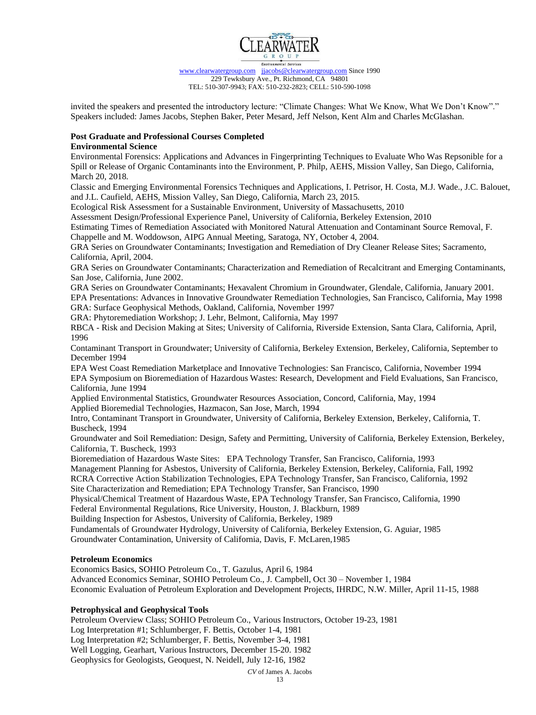

invited the speakers and presented the introductory lecture: "Climate Changes: What We Know, What We Don't Know"." Speakers included: James Jacobs, Stephen Baker, Peter Mesard, Jeff Nelson, Kent Alm and Charles McGlashan.

## **Post Graduate and Professional Courses Completed**

### **Environmental Science**

Environmental Forensics: Applications and Advances in Fingerprinting Techniques to Evaluate Who Was Repsonible for a Spill or Release of Organic Contaminants into the Environment, P. Philp, AEHS, Mission Valley, San Diego, California, March 20, 2018.

Classic and Emerging Environmental Forensics Techniques and Applications, I. Petrisor, H. Costa, M.J. Wade., J.C. Balouet, and J.L. Caufield, AEHS, Mission Valley, San Diego, California, March 23, 2015.

Ecological Risk Assessment for a Sustainable Environment, University of Massachusetts, 2010

Assessment Design/Professional Experience Panel, University of California, Berkeley Extension, 2010

Estimating Times of Remediation Associated with Monitored Natural Attenuation and Contaminant Source Removal, F. Chappelle and M. Woddowson, AIPG Annual Meeting, Saratoga, NY, October 4, 2004.

GRA Series on Groundwater Contaminants; Investigation and Remediation of Dry Cleaner Release Sites; Sacramento, California, April, 2004.

GRA Series on Groundwater Contaminants; Characterization and Remediation of Recalcitrant and Emerging Contaminants, San Jose, California, June 2002.

GRA Series on Groundwater Contaminants; Hexavalent Chromium in Groundwater, Glendale, California, January 2001.

EPA Presentations: Advances in Innovative Groundwater Remediation Technologies, San Francisco, California, May 1998 GRA: Surface Geophysical Methods, Oakland, California, November 1997

GRA: Phytoremediation Workshop; J. Lehr, Belmont, California, May 1997

RBCA - Risk and Decision Making at Sites; University of California, Riverside Extension, Santa Clara, California, April, 1996

Contaminant Transport in Groundwater; University of California, Berkeley Extension, Berkeley, California, September to December 1994

EPA West Coast Remediation Marketplace and Innovative Technologies: San Francisco, California, November 1994 EPA Symposium on Bioremediation of Hazardous Wastes: Research, Development and Field Evaluations, San Francisco, California, June 1994

Applied Environmental Statistics, Groundwater Resources Association, Concord, California, May, 1994

Applied Bioremedial Technologies, Hazmacon, San Jose, March, 1994 Intro, Contaminant Transport in Groundwater, University of California, Berkeley Extension, Berkeley, California, T.

Buscheck, 1994

Groundwater and Soil Remediation: Design, Safety and Permitting, University of California, Berkeley Extension, Berkeley, California, T. Buscheck, 1993

Bioremediation of Hazardous Waste Sites: EPA Technology Transfer, San Francisco, California, 1993 Management Planning for Asbestos, University of California, Berkeley Extension, Berkeley, California, Fall, 1992 RCRA Corrective Action Stabilization Technologies, EPA Technology Transfer, San Francisco, California, 1992

Site Characterization and Remediation; EPA Technology Transfer, San Francisco, 1990

Physical/Chemical Treatment of Hazardous Waste, EPA Technology Transfer, San Francisco, California, 1990 Federal Environmental Regulations, Rice University, Houston, J. Blackburn, 1989

Building Inspection for Asbestos, University of California, Berkeley, 1989

Fundamentals of Groundwater Hydrology, University of California, Berkeley Extension, G. Aguiar, 1985 Groundwater Contamination, University of California, Davis, F. McLaren,1985

# **Petroleum Economics**

Economics Basics, SOHIO Petroleum Co., T. Gazulus, April 6, 1984 Advanced Economics Seminar, SOHIO Petroleum Co., J. Campbell, Oct 30 – November 1, 1984 Economic Evaluation of Petroleum Exploration and Development Projects, IHRDC, N.W. Miller, April 11-15, 1988

# **Petrophysical and Geophysical Tools**

Petroleum Overview Class; SOHIO Petroleum Co., Various Instructors, October 19-23, 1981

Log Interpretation #1; Schlumberger, F. Bettis, October 1-4, 1981

Log Interpretation #2; Schlumberger, F. Bettis, November 3-4, 1981

Well Logging, Gearhart, Various Instructors, December 15-20. 1982

Geophysics for Geologists, Geoquest, N. Neidell, July 12-16, 1982